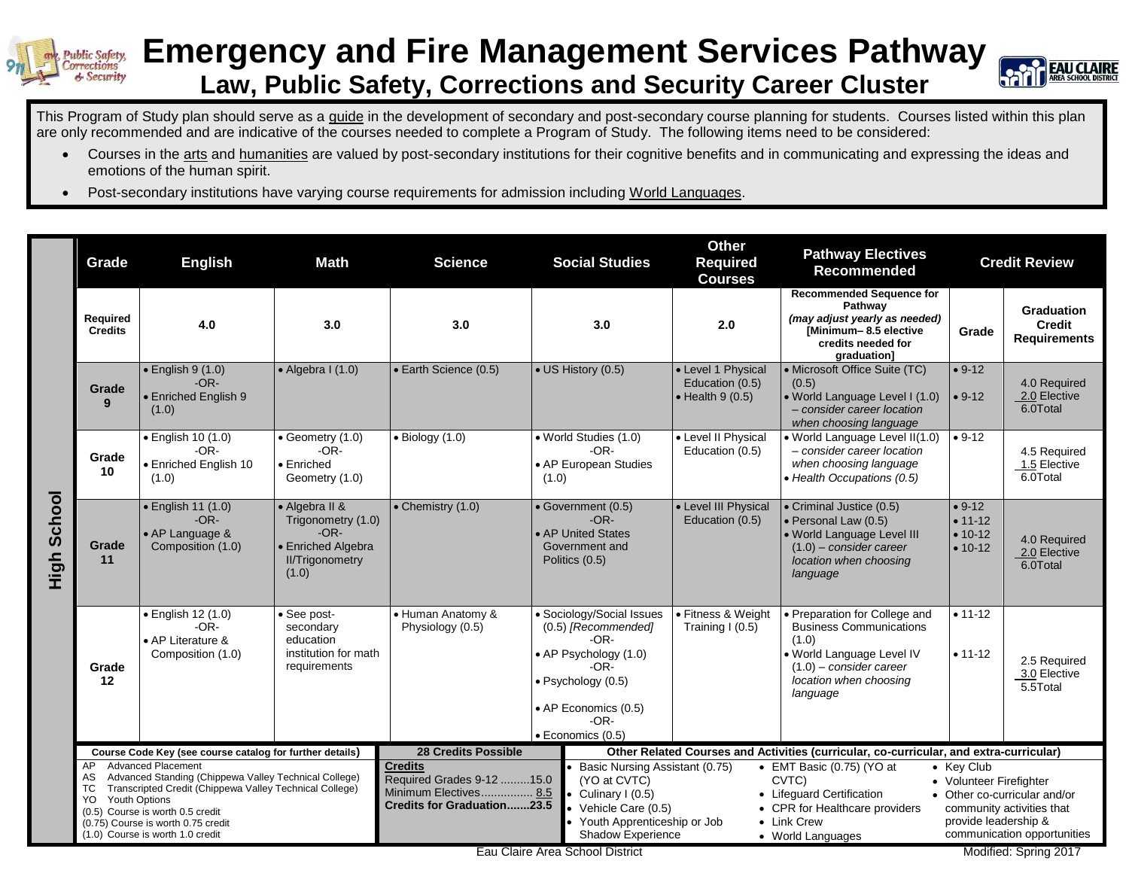

## **Emergency and Fire Management Services Pathway Law, Public Safety, Corrections and Security Career Cluster**



This Program of Study plan should serve as a guide in the development of secondary and post-secondary course planning for students. Courses listed within this plan are only recommended and are indicative of the courses needed to complete a Program of Study. The following items need to be considered:

- Courses in the arts and humanities are valued by post-secondary institutions for their cognitive benefits and in communicating and expressing the ideas and emotions of the human spirit.
- Post-secondary institutions have varying course requirements for admission including World Languages.

|                    | Grade                                                                                 | <b>English</b>                                                                                                                                                                                                                 | Math                                                                                                    | <b>Science</b>                                                                                     |                                                                                                                                                                            | <b>Social Studies</b>                                                                                                                                                           | <b>Other</b><br><b>Required</b><br><b>Courses</b>                 | <b>Pathway Electives</b><br>Recommended                                                                                                                                |                                                               | <b>Credit Review</b>                                                                                              |
|--------------------|---------------------------------------------------------------------------------------|--------------------------------------------------------------------------------------------------------------------------------------------------------------------------------------------------------------------------------|---------------------------------------------------------------------------------------------------------|----------------------------------------------------------------------------------------------------|----------------------------------------------------------------------------------------------------------------------------------------------------------------------------|---------------------------------------------------------------------------------------------------------------------------------------------------------------------------------|-------------------------------------------------------------------|------------------------------------------------------------------------------------------------------------------------------------------------------------------------|---------------------------------------------------------------|-------------------------------------------------------------------------------------------------------------------|
|                    | Required<br><b>Credits</b>                                                            | 4.0                                                                                                                                                                                                                            | 3.0                                                                                                     | 3.0                                                                                                |                                                                                                                                                                            | 3.0                                                                                                                                                                             | 2.0                                                               | <b>Recommended Sequence for</b><br>Pathway<br>(may adjust yearly as needed)<br>[Minimum-8.5 elective<br>credits needed for<br>graduation]                              | Grade                                                         | <b>Graduation</b><br><b>Credit</b><br><b>Requirements</b>                                                         |
| <b>High School</b> | Grade<br>9                                                                            | $\bullet$ English 9 (1.0)<br>$-OR-$<br>• Enriched English 9<br>(1.0)                                                                                                                                                           | $\bullet$ Algebra I (1.0)                                                                               | • Earth Science (0.5)                                                                              | • US History (0.5)                                                                                                                                                         |                                                                                                                                                                                 | • Level 1 Physical<br>Education (0.5)<br>$\bullet$ Health 9 (0.5) | • Microsoft Office Suite (TC)<br>(0.5)<br>• World Language Level I (1.0)<br>- consider career location<br>when choosing language                                       | $• 9-12$<br>$• 9-12$                                          | 4.0 Required<br>2.0 Elective<br>6.0Total                                                                          |
|                    | Grade<br>10                                                                           | • English 10 (1.0)<br>$-OR-$<br>· Enriched English 10<br>(1.0)                                                                                                                                                                 | • Geometry (1.0)<br>$-OR-$<br>• Enriched<br>Geometry (1.0)                                              | $\bullet$ Biology (1.0)                                                                            | (1.0)                                                                                                                                                                      | • World Studies (1.0)<br>$-OR-$<br>• AP European Studies                                                                                                                        | • Level II Physical<br>Education (0.5)                            | · World Language Level II(1.0)<br>- consider career location<br>when choosing language<br>• Health Occupations (0.5)                                                   | $• 9-12$                                                      | 4.5 Required<br>1.5 Elective<br>6.0Total                                                                          |
|                    | Grade<br>11                                                                           | $\bullet$ English 11 $(1.0)$<br>$-OR-$<br>• AP Language &<br>Composition (1.0)                                                                                                                                                 | • Algebra II &<br>Trigonometry (1.0)<br>$-OR-$<br>• Enriched Algebra<br><b>II/Trigonometry</b><br>(1.0) | • Chemistry (1.0)                                                                                  | • AP United States<br>Politics (0.5)                                                                                                                                       | • Government (0.5)<br>$-OR-$<br>Government and                                                                                                                                  | • Level III Physical<br>Education (0.5)                           | • Criminal Justice (0.5)<br>· Personal Law (0.5)<br>· World Language Level III<br>$(1.0)$ – consider career<br>location when choosing<br>language                      | $• 9-12$<br>$• 11 - 12$<br>$• 10-12$<br>$• 10-12$             | 4.0 Required<br>2.0 Elective<br>6.0Total                                                                          |
|                    | Grade<br>12                                                                           | · English 12 (1.0)<br>-OR-<br>• AP Literature &<br>Composition (1.0)                                                                                                                                                           | • See post-<br>secondary<br>education<br>institution for math<br>requirements                           | • Human Anatomy &<br>Physiology (0.5)                                                              | • Sociology/Social Issues<br>(0.5) [Recommended]<br>$-OR-$<br>• AP Psychology (1.0)<br>$-OR-$<br>· Psychology (0.5)<br>• AP Economics (0.5)<br>$-OR-$<br>· Economics (0.5) |                                                                                                                                                                                 | • Fitness & Weight<br>Training I (0.5)                            | Preparation for College and<br><b>Business Communications</b><br>(1.0)<br>. World Language Level IV<br>$(1.0)$ – consider career<br>location when choosing<br>language | $• 11 - 12$<br>$• 11-12$                                      | 2.5 Required<br>3.0 Elective<br>5.5Total                                                                          |
|                    | Course Code Key (see course catalog for further details)<br><b>Advanced Placement</b> |                                                                                                                                                                                                                                |                                                                                                         | <b>28 Credits Possible</b>                                                                         |                                                                                                                                                                            | Other Related Courses and Activities (curricular, co-curricular, and extra-curricular)                                                                                          |                                                                   |                                                                                                                                                                        |                                                               |                                                                                                                   |
|                    | AP<br>AS<br>ТC<br>YO<br><b>Youth Options</b>                                          | Advanced Standing (Chippewa Valley Technical College)<br>Transcripted Credit (Chippewa Valley Technical College)<br>(0.5) Course is worth 0.5 credit<br>(0.75) Course is worth 0.75 credit<br>(1.0) Course is worth 1.0 credit |                                                                                                         | <b>Credits</b><br>Required Grades 9-12 15.0<br>Minimum Electives 8.5<br>Credits for Graduation23.5 |                                                                                                                                                                            | Basic Nursing Assistant (0.75)<br>(YO at CVTC)<br>Culinary I (0.5)<br>Vehicle Care (0.5)<br>Youth Apprenticeship or Job<br>Shadow Experience<br>Eau Claire Area School District |                                                                   | • EMT Basic (0.75) (YO at<br>CVTC)<br>• Lifeguard Certification<br>• CPR for Healthcare providers<br>• Link Crew<br>• World Languages                                  | • Key Club<br>• Volunteer Firefighter<br>provide leadership & | • Other co-curricular and/or<br>community activities that<br>communication opportunities<br>Modified: Spring 2017 |